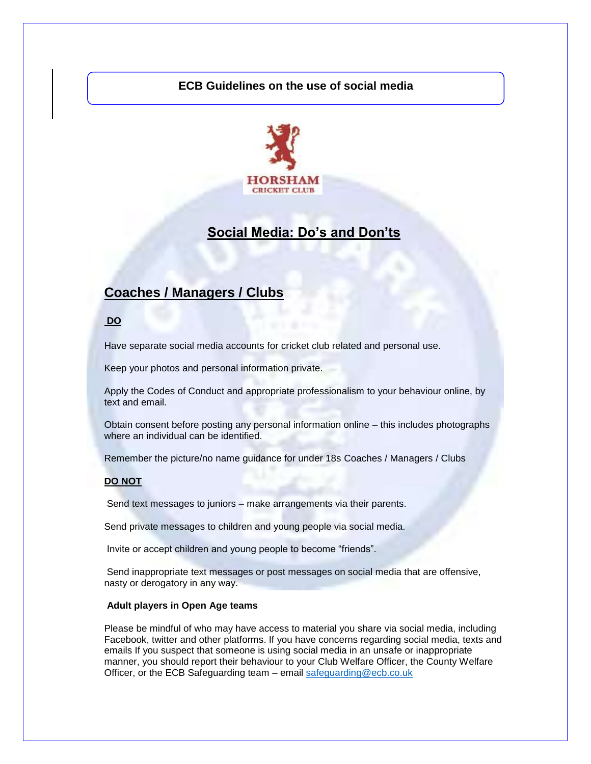#### **ECB Guidelines on the use of social media**



## **Social Media: Do's and Don'ts**

## **Coaches / Managers / Clubs**

**DO** 

Have separate social media accounts for cricket club related and personal use.

Keep your photos and personal information private.

Apply the Codes of Conduct and appropriate professionalism to your behaviour online, by text and email.

Obtain consent before posting any personal information online – this includes photographs where an individual can be identified.

Remember the picture/no name guidance for under 18s Coaches / Managers / Clubs

#### **DO NOT**

Send text messages to juniors – make arrangements via their parents.

Send private messages to children and young people via social media.

Invite or accept children and young people to become "friends".

Send inappropriate text messages or post messages on social media that are offensive, nasty or derogatory in any way.

#### **Adult players in Open Age teams**

Please be mindful of who may have access to material you share via social media, including Facebook, twitter and other platforms. If you have concerns regarding social media, texts and emails If you suspect that someone is using social media in an unsafe or inappropriate manner, you should report their behaviour to your Club Welfare Officer, the County Welfare Officer, or the ECB Safeguarding team – email [safeguarding@ecb.co.uk](mailto:safeguarding@ecb.co.uk)